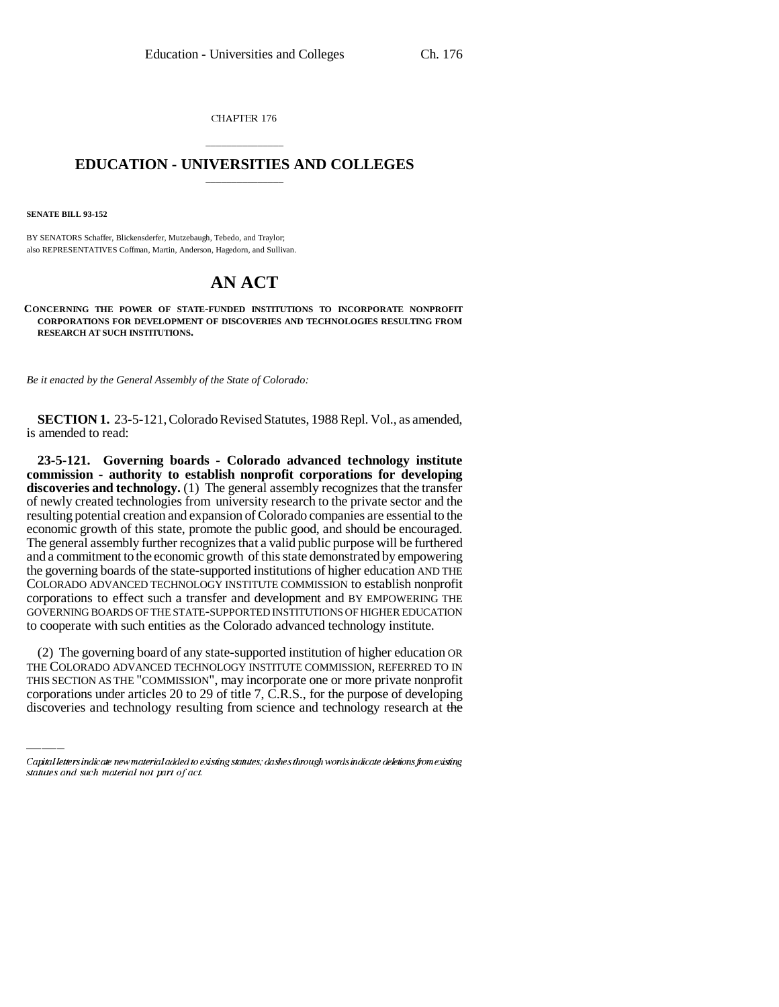CHAPTER 176

## \_\_\_\_\_\_\_\_\_\_\_\_\_\_\_ **EDUCATION - UNIVERSITIES AND COLLEGES** \_\_\_\_\_\_\_\_\_\_\_\_\_\_\_

**SENATE BILL 93-152**

BY SENATORS Schaffer, Blickensderfer, Mutzebaugh, Tebedo, and Traylor; also REPRESENTATIVES Coffman, Martin, Anderson, Hagedorn, and Sullivan.

## **AN ACT**

**CONCERNING THE POWER OF STATE-FUNDED INSTITUTIONS TO INCORPORATE NONPROFIT CORPORATIONS FOR DEVELOPMENT OF DISCOVERIES AND TECHNOLOGIES RESULTING FROM RESEARCH AT SUCH INSTITUTIONS.**

*Be it enacted by the General Assembly of the State of Colorado:*

**SECTION 1.** 23-5-121, Colorado Revised Statutes, 1988 Repl. Vol., as amended, is amended to read:

**23-5-121. Governing boards - Colorado advanced technology institute commission - authority to establish nonprofit corporations for developing discoveries and technology.** (1) The general assembly recognizes that the transfer of newly created technologies from university research to the private sector and the resulting potential creation and expansion of Colorado companies are essential to the economic growth of this state, promote the public good, and should be encouraged. The general assembly further recognizes that a valid public purpose will be furthered and a commitment to the economic growth of this state demonstrated by empowering the governing boards of the state-supported institutions of higher education AND THE COLORADO ADVANCED TECHNOLOGY INSTITUTE COMMISSION to establish nonprofit corporations to effect such a transfer and development and BY EMPOWERING THE GOVERNING BOARDS OF THE STATE-SUPPORTED INSTITUTIONS OF HIGHER EDUCATION to cooperate with such entities as the Colorado advanced technology institute.

(2) The governing board of any state-supported institution of higher education OR THE COLORADO ADVANCED TECHNOLOGY INSTITUTE COMMISSION, REFERRED TO IN THIS SECTION AS THE "COMMISSION", may incorporate one or more private nonprofit corporations under articles 20 to 29 of title 7, C.R.S., for the purpose of developing discoveries and technology resulting from science and technology research at the

Capital letters indicate new material added to existing statutes; dashes through words indicate deletions from existing statutes and such material not part of act.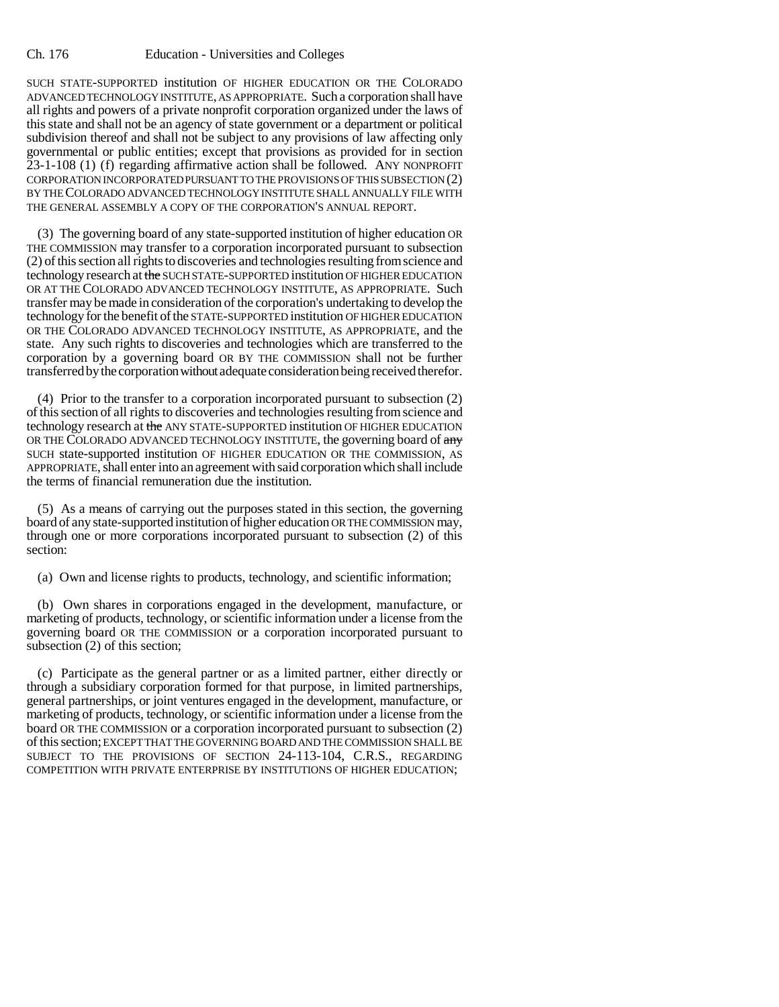SUCH STATE-SUPPORTED institution OF HIGHER EDUCATION OR THE COLORADO ADVANCED TECHNOLOGY INSTITUTE, AS APPROPRIATE. Such a corporation shall have all rights and powers of a private nonprofit corporation organized under the laws of this state and shall not be an agency of state government or a department or political subdivision thereof and shall not be subject to any provisions of law affecting only governmental or public entities; except that provisions as provided for in section 23-1-108 (1) (f) regarding affirmative action shall be followed. ANY NONPROFIT CORPORATION INCORPORATED PURSUANT TO THE PROVISIONS OF THIS SUBSECTION (2) BY THE COLORADO ADVANCED TECHNOLOGY INSTITUTE SHALL ANNUALLY FILE WITH THE GENERAL ASSEMBLY A COPY OF THE CORPORATION'S ANNUAL REPORT.

(3) The governing board of any state-supported institution of higher education OR THE COMMISSION may transfer to a corporation incorporated pursuant to subsection (2) of this section all rights to discoveries and technologies resulting from science and technology research at the SUCH STATE-SUPPORTED institution OF HIGHER EDUCATION OR AT THE COLORADO ADVANCED TECHNOLOGY INSTITUTE, AS APPROPRIATE. Such transfer may be made in consideration of the corporation's undertaking to develop the technology for the benefit of the STATE-SUPPORTED institution OF HIGHER EDUCATION OR THE COLORADO ADVANCED TECHNOLOGY INSTITUTE, AS APPROPRIATE, and the state. Any such rights to discoveries and technologies which are transferred to the corporation by a governing board OR BY THE COMMISSION shall not be further transferred by the corporation without adequate consideration being received therefor.

(4) Prior to the transfer to a corporation incorporated pursuant to subsection (2) of this section of all rights to discoveries and technologies resulting from science and technology research at the ANY STATE-SUPPORTED institution OF HIGHER EDUCATION OR THE COLORADO ADVANCED TECHNOLOGY INSTITUTE, the governing board of any SUCH state-supported institution OF HIGHER EDUCATION OR THE COMMISSION, AS APPROPRIATE, shall enter into an agreement with said corporation which shall include the terms of financial remuneration due the institution.

(5) As a means of carrying out the purposes stated in this section, the governing board of any state-supported institution of higher education OR THE COMMISSION may, through one or more corporations incorporated pursuant to subsection (2) of this section:

(a) Own and license rights to products, technology, and scientific information;

(b) Own shares in corporations engaged in the development, manufacture, or marketing of products, technology, or scientific information under a license from the governing board OR THE COMMISSION or a corporation incorporated pursuant to subsection (2) of this section;

(c) Participate as the general partner or as a limited partner, either directly or through a subsidiary corporation formed for that purpose, in limited partnerships, general partnerships, or joint ventures engaged in the development, manufacture, or marketing of products, technology, or scientific information under a license from the board OR THE COMMISSION or a corporation incorporated pursuant to subsection (2) of this section; EXCEPT THAT THE GOVERNING BOARD AND THE COMMISSION SHALL BE SUBJECT TO THE PROVISIONS OF SECTION 24-113-104, C.R.S., REGARDING COMPETITION WITH PRIVATE ENTERPRISE BY INSTITUTIONS OF HIGHER EDUCATION;